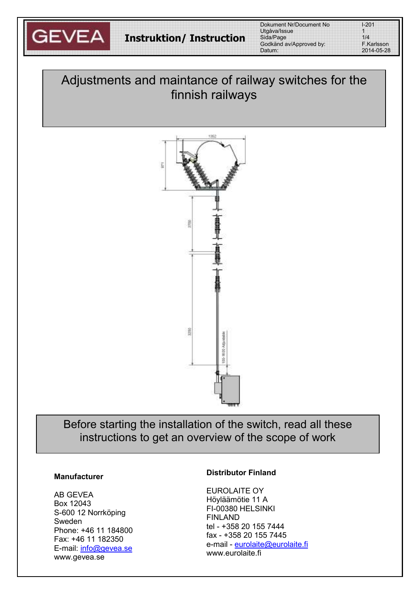

| $1 - 201$  |  |
|------------|--|
| 1          |  |
| 1/4        |  |
| F.Karlsson |  |
| 2014-05-28 |  |

# Adjustments and maintance of railway switches for the finnish railways



Before starting the installation of the switch, read all these instructions to get an overview of the scope of work

### **Manufacturer**

AB GEVEA Box 12043 S-600 12 Norrköping Sweden Phone: +46 11 184800 Fax: +46 11 182350 E-mail: info@gevea.se www.gevea.se

#### **Distributor Finland**

EUROLAITE OY Höyläämötie 11 A FI-00380 HELSINKI FINLAND tel - +358 20 155 7444 fax - +358 20 155 7445 e-mail - eurolaite@eurolaite.fi www.eurolaite.fi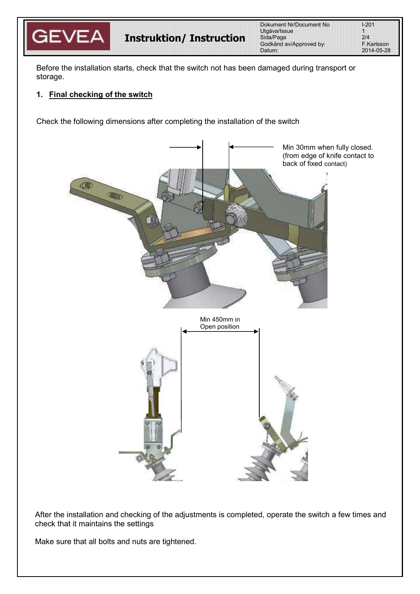

**Instruktion/ Instruction**

Dokument Nr/Document No Utgåva/Issue 1 Sida/Page Godkänd av/Approved by: Datum:

| -201       |  |
|------------|--|
|            |  |
| 7/4        |  |
| - Karlsson |  |
| 2014-05-28 |  |

Before the installation starts, check that the switch not has been damaged during transport or storage.

### **1. Final checking of the switch**

Check the following dimensions after completing the installation of the switch



After the installation and checking of the adjustments is completed, operate the switch a few times and check that it maintains the settings

Make sure that all bolts and nuts are tightened.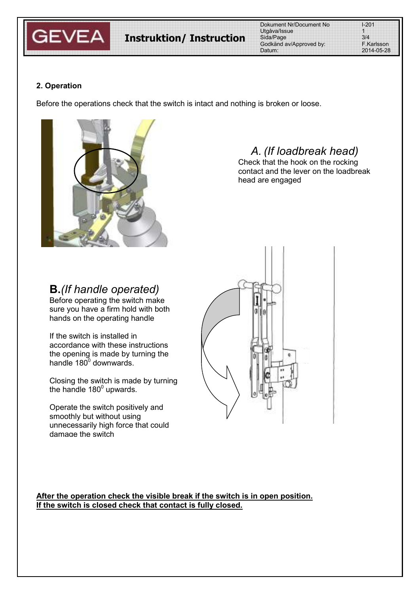

| Dokument Nr/Document No | $1 - 201$  |
|-------------------------|------------|
| Utgåva/Issue            |            |
| Sida/Page               | 3/4        |
| Godkänd av/Approved by: | F.Karlsson |
| Datum:                  | 2014-05-28 |

### **2. Operation**

Before the operations check that the switch is intact and nothing is broken or loose.



### *A. (If loadbreak head)*

Check that the hook on the rocking contact and the lever on the loadbreak head are engaged

## **B.***(If handle operated)*

Before operating the switch make sure you have a firm hold with both hands on the operating handle

If the switch is installed in accordance with these instructions the opening is made by turning the handle 180 $^{\circ}$  downwards.

Closing the switch is made by turning the handle 180 $^{\circ}$  upwards.

Operate the switch positively and smoothly but without using unnecessarily high force that could damage the switch



**After the operation check the visible break if the switch is in open position. If the switch is closed check that contact is fully closed.**